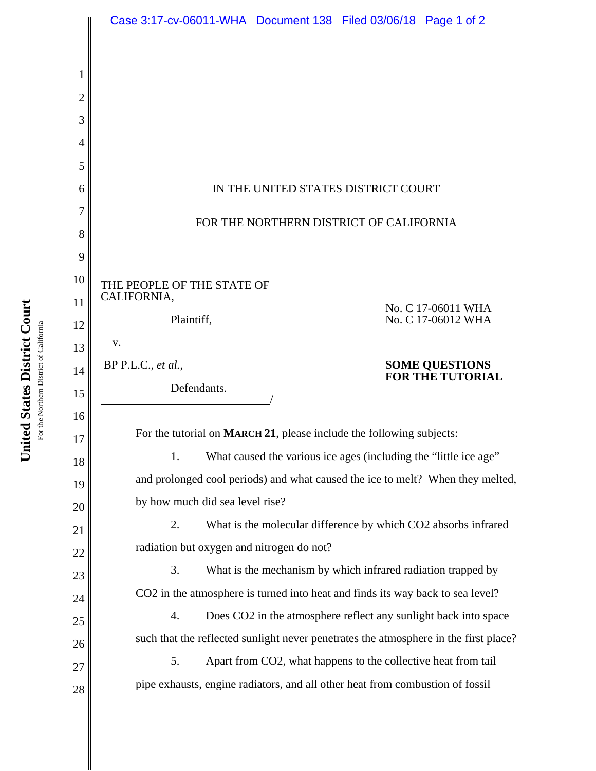|                | Case 3:17-cv-06011-WHA Document 138 Filed 03/06/18 Page 1 of 2                                                                                       |
|----------------|------------------------------------------------------------------------------------------------------------------------------------------------------|
|                |                                                                                                                                                      |
| 1              |                                                                                                                                                      |
| $\overline{2}$ |                                                                                                                                                      |
| 3              |                                                                                                                                                      |
| $\overline{4}$ |                                                                                                                                                      |
| 5              |                                                                                                                                                      |
| 6              | IN THE UNITED STATES DISTRICT COURT                                                                                                                  |
| 7              |                                                                                                                                                      |
| 8              | FOR THE NORTHERN DISTRICT OF CALIFORNIA                                                                                                              |
| 9              |                                                                                                                                                      |
| 10             | THE PEOPLE OF THE STATE OF                                                                                                                           |
| 11             | CALIFORNIA,<br>No. C 17-06011 WHA                                                                                                                    |
| 12             | Plaintiff,<br>No. C 17-06012 WHA                                                                                                                     |
| 13             | V.                                                                                                                                                   |
|                | $BP$ P.L.C., et al.,                                                                                                                                 |
| 14             | <b>SOME QUESTIONS<br/>FOR THE TUTORIAL</b>                                                                                                           |
| 15             | Defendants.                                                                                                                                          |
| 16             |                                                                                                                                                      |
| 17             | For the tutorial on MARCH 21, please include the following subjects:                                                                                 |
| 18             | What caused the various ice ages (including the "little ice age"<br>1.                                                                               |
| 19             | and prolonged cool periods) and what caused the ice to melt? When they melted,                                                                       |
| 20             | by how much did sea level rise?                                                                                                                      |
| 21             | What is the molecular difference by which CO2 absorbs infrared<br>2.                                                                                 |
| 22             | radiation but oxygen and nitrogen do not?                                                                                                            |
| 23             | What is the mechanism by which infrared radiation trapped by<br>3.                                                                                   |
| 24             | CO2 in the atmosphere is turned into heat and finds its way back to sea level?                                                                       |
| 25             | Does CO2 in the atmosphere reflect any sunlight back into space<br>4.                                                                                |
| 26             | such that the reflected sunlight never penetrates the atmosphere in the first place?                                                                 |
| 27<br>28       | Apart from CO2, what happens to the collective heat from tail<br>5.<br>pipe exhausts, engine radiators, and all other heat from combustion of fossil |

For the Northern District of California For the Northern District of California